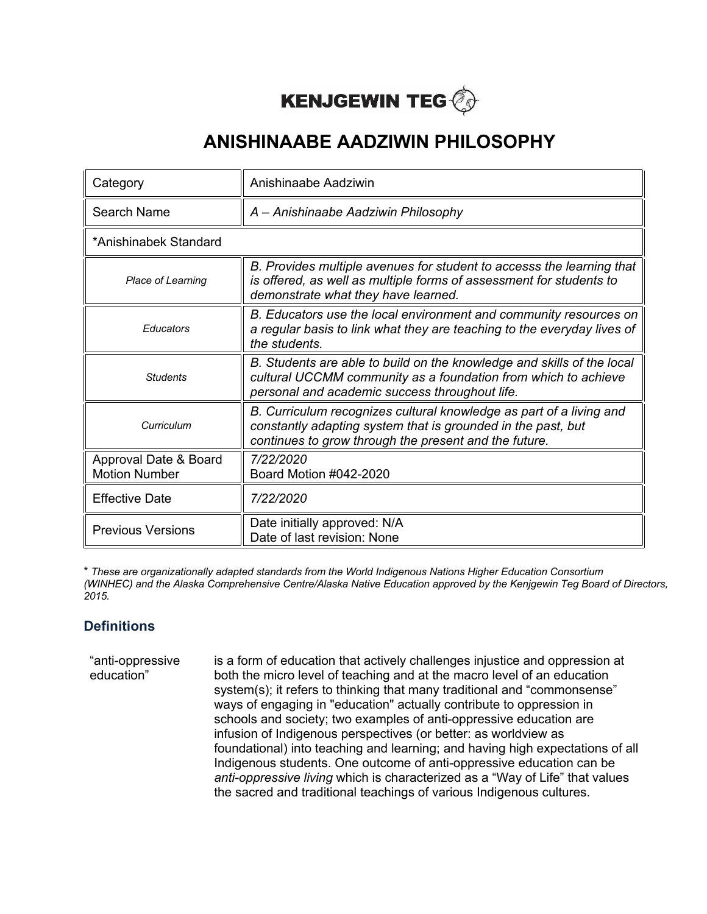

| Category                                      | Anishinaabe Aadziwin                                                                                                                                                                         |  |
|-----------------------------------------------|----------------------------------------------------------------------------------------------------------------------------------------------------------------------------------------------|--|
| Search Name                                   | A - Anishinaabe Aadziwin Philosophy                                                                                                                                                          |  |
| *Anishinabek Standard                         |                                                                                                                                                                                              |  |
| Place of Learning                             | B. Provides multiple avenues for student to accesss the learning that<br>is offered, as well as multiple forms of assessment for students to<br>demonstrate what they have learned.          |  |
| Educators                                     | B. Educators use the local environment and community resources on<br>a regular basis to link what they are teaching to the everyday lives of<br>the students.                                |  |
| <b>Students</b>                               | B. Students are able to build on the knowledge and skills of the local<br>cultural UCCMM community as a foundation from which to achieve<br>personal and academic success throughout life.   |  |
| Curriculum                                    | B. Curriculum recognizes cultural knowledge as part of a living and<br>constantly adapting system that is grounded in the past, but<br>continues to grow through the present and the future. |  |
| Approval Date & Board<br><b>Motion Number</b> | 7/22/2020<br>Board Motion #042-2020                                                                                                                                                          |  |
| <b>Effective Date</b>                         | 7/22/2020                                                                                                                                                                                    |  |
| <b>Previous Versions</b>                      | Date initially approved: N/A<br>Date of last revision: None                                                                                                                                  |  |

\* *These are organizationally adapted standards from the World Indigenous Nations Higher Education Consortium (WINHEC) and the Alaska Comprehensive Centre/Alaska Native Education approved by the Kenjgewin Teg Board of Directors, 2015.*

### **Definitions**

"anti-oppressive education" is a form of education that actively challenges injustice and oppression at both the micro level of teaching and at the macro level of an education system(s); it refers to thinking that many traditional and "commonsense" ways of engaging in "education" actually contribute to oppression in schools and society; two examples of anti-oppressive education are infusion of Indigenous perspectives (or better: as worldview as foundational) into teaching and learning; and having high expectations of all Indigenous students. One outcome of anti-oppressive education can be *anti-oppressive living* which is characterized as a "Way of Life" that values the sacred and traditional teachings of various Indigenous cultures.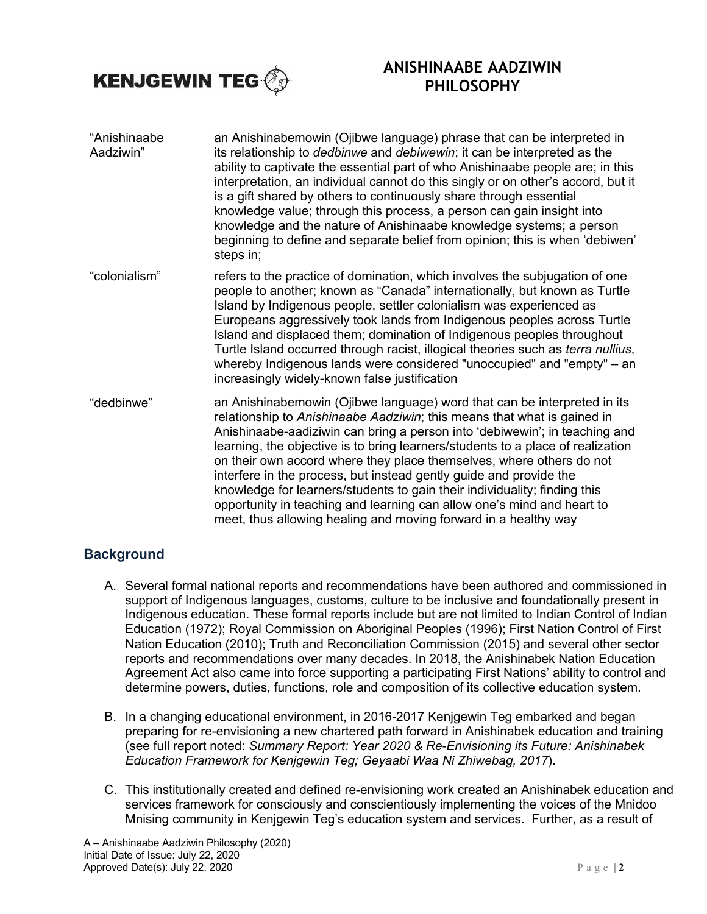

| "Anishinaabe<br>Aadziwin" | an Anishinabemowin (Ojibwe language) phrase that can be interpreted in<br>its relationship to <i>dedbinwe</i> and <i>debiwewin</i> ; it can be interpreted as the<br>ability to captivate the essential part of who Anishinaabe people are; in this<br>interpretation, an individual cannot do this singly or on other's accord, but it<br>is a gift shared by others to continuously share through essential<br>knowledge value; through this process, a person can gain insight into<br>knowledge and the nature of Anishinaabe knowledge systems; a person<br>beginning to define and separate belief from opinion; this is when 'debiwen'<br>steps in;                                   |
|---------------------------|----------------------------------------------------------------------------------------------------------------------------------------------------------------------------------------------------------------------------------------------------------------------------------------------------------------------------------------------------------------------------------------------------------------------------------------------------------------------------------------------------------------------------------------------------------------------------------------------------------------------------------------------------------------------------------------------|
| "colonialism"             | refers to the practice of domination, which involves the subjugation of one<br>people to another; known as "Canada" internationally, but known as Turtle<br>Island by Indigenous people, settler colonialism was experienced as<br>Europeans aggressively took lands from Indigenous peoples across Turtle<br>Island and displaced them; domination of Indigenous peoples throughout<br>Turtle Island occurred through racist, illogical theories such as <i>terra nullius</i> ,<br>whereby Indigenous lands were considered "unoccupied" and "empty" $-$ an<br>increasingly widely-known false justification                                                                                |
| "dedbinwe"                | an Anishinabemowin (Ojibwe language) word that can be interpreted in its<br>relationship to Anishinaabe Aadziwin; this means that what is gained in<br>Anishinaabe-aadiziwin can bring a person into 'debiwewin'; in teaching and<br>learning, the objective is to bring learners/students to a place of realization<br>on their own accord where they place themselves, where others do not<br>interfere in the process, but instead gently guide and provide the<br>knowledge for learners/students to gain their individuality; finding this<br>opportunity in teaching and learning can allow one's mind and heart to<br>meet, thus allowing healing and moving forward in a healthy way |

#### **Background**

- A. Several formal national reports and recommendations have been authored and commissioned in support of Indigenous languages, customs, culture to be inclusive and foundationally present in Indigenous education. These formal reports include but are not limited to Indian Control of Indian Education (1972); Royal Commission on Aboriginal Peoples (1996); First Nation Control of First Nation Education (2010); Truth and Reconciliation Commission (2015) and several other sector reports and recommendations over many decades. In 2018, the Anishinabek Nation Education Agreement Act also came into force supporting a participating First Nations' ability to control and determine powers, duties, functions, role and composition of its collective education system.
- B. In a changing educational environment, in 2016-2017 Kenjgewin Teg embarked and began preparing for re-envisioning a new chartered path forward in Anishinabek education and training (see full report noted: *Summary Report: Year 2020 & Re-Envisioning its Future: Anishinabek Education Framework for Kenjgewin Teg; Geyaabi Waa Ni Zhiwebag, 2017*).
- C. This institutionally created and defined re-envisioning work created an Anishinabek education and services framework for consciously and conscientiously implementing the voices of the Mnidoo Mnising community in Kenjgewin Teg's education system and services. Further, as a result of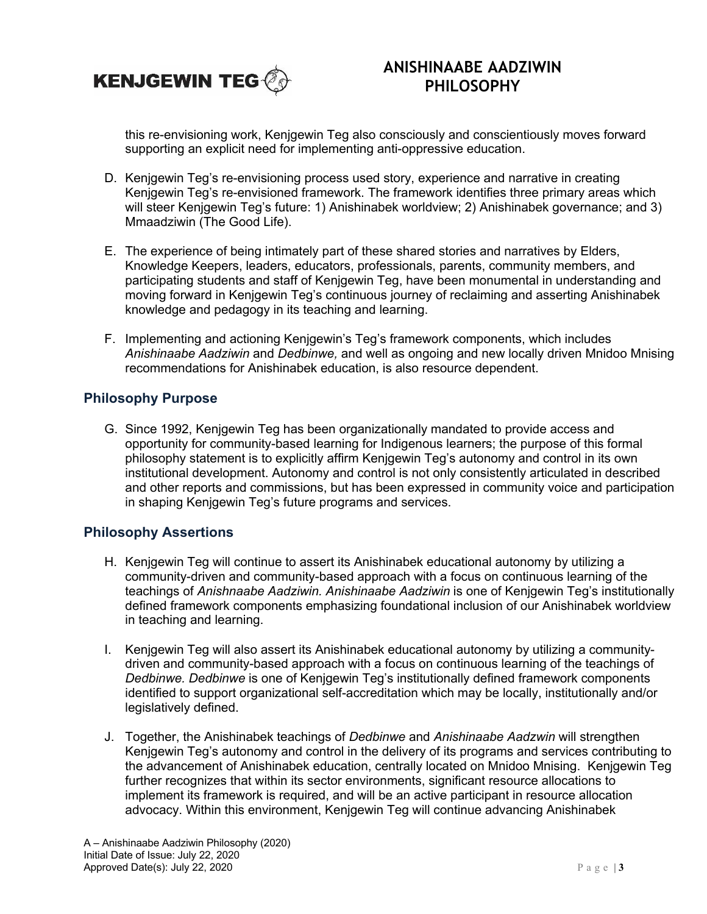

this re-envisioning work, Kenjgewin Teg also consciously and conscientiously moves forward supporting an explicit need for implementing anti-oppressive education.

- D. Kenjgewin Teg's re-envisioning process used story, experience and narrative in creating Kenjgewin Teg's re-envisioned framework. The framework identifies three primary areas which will steer Kenjgewin Teg's future: 1) Anishinabek worldview; 2) Anishinabek governance; and 3) Mmaadziwin (The Good Life).
- E. The experience of being intimately part of these shared stories and narratives by Elders, Knowledge Keepers, leaders, educators, professionals, parents, community members, and participating students and staff of Kenjgewin Teg, have been monumental in understanding and moving forward in Kenjgewin Teg's continuous journey of reclaiming and asserting Anishinabek knowledge and pedagogy in its teaching and learning.
- F. Implementing and actioning Kenjgewin's Teg's framework components, which includes *Anishinaabe Aadziwin* and *Dedbinwe,* and well as ongoing and new locally driven Mnidoo Mnising recommendations for Anishinabek education, is also resource dependent.

#### **Philosophy Purpose**

G. Since 1992, Kenjgewin Teg has been organizationally mandated to provide access and opportunity for community-based learning for Indigenous learners; the purpose of this formal philosophy statement is to explicitly affirm Kenjgewin Teg's autonomy and control in its own institutional development. Autonomy and control is not only consistently articulated in described and other reports and commissions, but has been expressed in community voice and participation in shaping Kenjgewin Teg's future programs and services.

#### **Philosophy Assertions**

- H. Kenjgewin Teg will continue to assert its Anishinabek educational autonomy by utilizing a community-driven and community-based approach with a focus on continuous learning of the teachings of *Anishnaabe Aadziwin. Anishinaabe Aadziwin* is one of Kenjgewin Teg's institutionally defined framework components emphasizing foundational inclusion of our Anishinabek worldview in teaching and learning.
- I. Kenjgewin Teg will also assert its Anishinabek educational autonomy by utilizing a communitydriven and community-based approach with a focus on continuous learning of the teachings of *Dedbinwe. Dedbinwe* is one of Kenjgewin Teg's institutionally defined framework components identified to support organizational self-accreditation which may be locally, institutionally and/or legislatively defined.
- J. Together, the Anishinabek teachings of *Dedbinwe* and *Anishinaabe Aadzwin* will strengthen Kenjgewin Teg's autonomy and control in the delivery of its programs and services contributing to the advancement of Anishinabek education, centrally located on Mnidoo Mnising. Kenjgewin Teg further recognizes that within its sector environments, significant resource allocations to implement its framework is required, and will be an active participant in resource allocation advocacy. Within this environment, Kenjgewin Teg will continue advancing Anishinabek